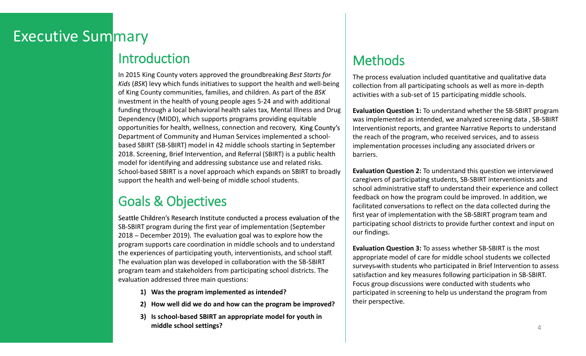## **Executive Summary**

## Introduction

In 2015 King County voters approved the groundbreaking Best Starts for Kids (BSK) levy which funds initiatives to support the health and well-being of King County communities, families, and children. As part of the BSK investment in the health of young people ages 5-24 and with additional funding through a local behavioral health sales tax, Mental Illness and Drug Dependency (MIDD), which supports programs providing equitable opportunities for health, wellness, connection and recovery, Department of Community and Human Services implemented a schoolbased SBIRT (SB-SBIRT) model in 42 middle schools starting in September 2018. Screening, Brief Intervention, and Referral (SBIRT) is a public health model for identifying and addressing substance use and related risks. School-based SBIRT is a novel approach which expands on SBIRT to broadly support the health and well-being of middle school students.

## Goals & Objectives

SB-SBIRT program during the first year of implementation (September  $2018$  – December 2019). The evaluation goal was to explore how the program supports care coordination in middle schools and to understand the experiences of participating youth, interventionists, and school staff. The evaluation plan was developed in collaboration with the SB-SBIRT program team and stakeholders from participating school districts. The evaluation addressed three main questions: Experience Solen Throw Hotel Through Save and Referal (SBIRT) is a public health<br>
Save of identifying and addressing substance use and related risks.<br>
The health and well-being of middle school students.<br>
IS & Objectives<br> From the methodology and addressing substance use and related risks.<br>
Assed SBIRT is a novel approach which expands on SBIRT to broadly<br>
the health and well-being of middle school students.<br>
<br>
<br> **Exaction** and well-being o Dassed SBIRT is a novel approach which expands on SBIRT to broadly<br>
the health and well-being of middle school students.<br>
Somethead and well-being of middle school students.<br>
Somether and the school-beam and the state in t

- 
- 
- middle school settings?

## Methods

The process evaluation included quantitative and qualitative data collection from all participating schools as well as more in-depth activities with a sub-set of 15 participating middle schools.

Evaluation Question 1: To understand whether the SB-SBIRT program was implemented as intended, we analyzed screening data , SB-SBIRT Interventionist reports, and grantee Narrative Reports to understand the reach of the program, who received services, and to assess implementation processes including any associated drivers or barriers.

Evaluation Question 2: To understand this question we interviewed caregivers of participating students, SB-SBIRT interventionists and school administrative staff to understand their experience and collect feedback on how the program could be improved. In addition, we facilitated conversations to reflect on the data collected during the first year of implementation with the SB-SBIRT program team and participating school districts to provide further context and input on our findings.

Evaluation Question 3: To assess whether SB-SBIRT is the most appropriate model of care for middle school students we collected surveys with students who participated in Brief Intervention to assess satisfaction and key measures following participation in SB-SBIRT. Focus group discussions were conducted with students who participated in screening to help us understand the program from their perspective.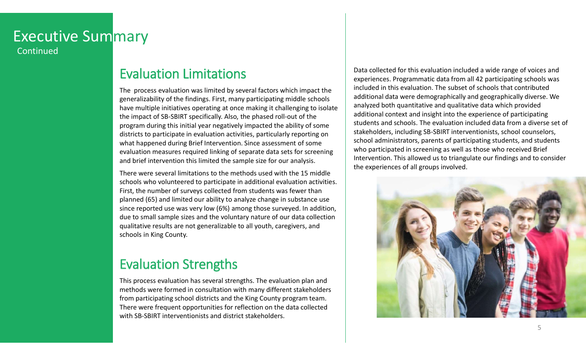### **Executive Summary** Continued

Evaluation Limitations

The process evaluation Limitations<br>
The process evaluation was limited by several factors which impact the<br>
generalizability of the findings. First, many participating middle schools<br>
have multiple initiatives operating at many and the finding time the model of the finding middle schools developed at the seperalizability of the finding s. First, many participating middle schools and this equalizability of the findings. First, many participat have multiple initiatives operating at once making it challenging to isolate the impact of SB-SBIRT specifically. Also, the phased roll-out of the program during this initial year negatively impacted the ability of some districts to participate in evaluation activities, particularly reporting on what happened during Brief Intervention. Since assessment of some evaluation measures required linking of separate data sets for screening and brief intervention this limited the sample size for our analysis.

There were several limitations to the methods used with the 15 middle schools who volunteered to participate in additional evaluation activities. First, the number of surveys collected from students was fewer than planned (65) and limited our ability to analyze change in substance use since reported use was very low (6%) among those surveyed. In addition, due to small sample sizes and the voluntary nature of our data collection qualitative results are not generalizable to all youth, caregivers, and schools in King County.

## Evaluation Strengths

This process evaluation has several strengths. The evaluation plan and methods were formed in consultation with many different stakeholders from participating school districts and the King County program team. There were frequent opportunities for reflection on the data collected with SB-SBIRT interventionists and district stakeholders.

Data collected for this evaluation included a wide range of voices and experiences. Programmatic data from all 42 participating schools was included in this evaluation. The subset of schools that contributed additional data were demographically and geographically diverse. We analyzed both quantitative and qualitative data which provided additional context and insight into the experience of participating students and schools. The evaluation included data from a diverse set of stakeholders, including SB-SBIRT interventionists, school counselors, school administrators, parents of participating students, and students who participated in screening as well as those who received Brief Intervention. This allowed us to triangulate our findings and to consider the experiences of all groups involved.